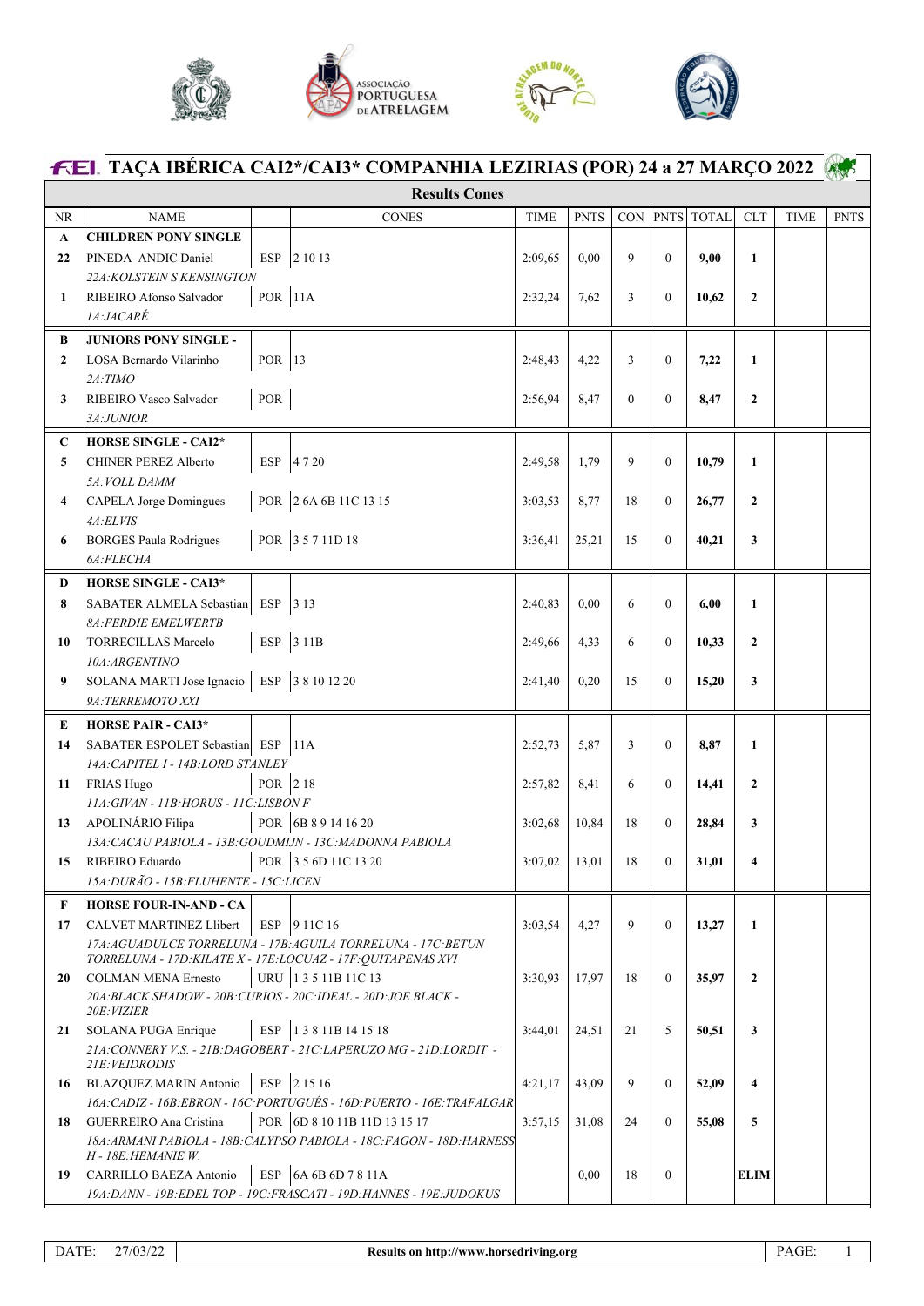





| <b>FEL TAÇA IBÉRICA CAI2*/CAI3* COMPANHIA LEZIRIAS (POR) 24 a 27 MARÇO 2022</b> |                                                                                        |                |                                                                                    |             |             |                |                  |            |              |             |             |
|---------------------------------------------------------------------------------|----------------------------------------------------------------------------------------|----------------|------------------------------------------------------------------------------------|-------------|-------------|----------------|------------------|------------|--------------|-------------|-------------|
| <b>Results Cones</b>                                                            |                                                                                        |                |                                                                                    |             |             |                |                  |            |              |             |             |
| <b>NR</b>                                                                       | <b>NAME</b>                                                                            |                | <b>CONES</b>                                                                       | <b>TIME</b> | <b>PNTS</b> | CON            |                  | PNTS TOTAL | <b>CLT</b>   | <b>TIME</b> | <b>PNTS</b> |
| A                                                                               | <b>CHILDREN PONY SINGLE</b>                                                            |                |                                                                                    |             |             |                |                  |            |              |             |             |
| 22                                                                              | PINEDA ANDIC Daniel                                                                    |                | ESP 2 10 13                                                                        | 2:09,65     | 0.00        | 9              | $\mathbf{0}$     | 9,00       | $\mathbf{1}$ |             |             |
|                                                                                 | 22A: KOLSTEIN S KENSINGTON                                                             |                |                                                                                    |             |             |                |                  |            |              |             |             |
| 1                                                                               | RIBEIRO Afonso Salvador<br>1A:JACARÉ                                                   | <b>POR</b> 11A |                                                                                    | 2:32,24     | 7,62        | 3              | $\mathbf{0}$     | 10,62      | $\mathbf{2}$ |             |             |
| B                                                                               | <b>JUNIORS PONY SINGLE -</b>                                                           |                |                                                                                    |             |             |                |                  |            |              |             |             |
| $\mathbf{2}$                                                                    | LOSA Bernardo Vilarinho                                                                | POR 13         |                                                                                    | 2:48,43     | 4,22        | 3              | $\mathbf{0}$     | 7,22       | $\mathbf{1}$ |             |             |
|                                                                                 | 2A:TIMO                                                                                |                |                                                                                    |             |             |                |                  |            |              |             |             |
| 3                                                                               | RIBEIRO Vasco Salvador<br>3A:JUNIOR                                                    | $\mbox{POR}$   |                                                                                    | 2:56,94     | 8,47        | $\overline{0}$ | $\boldsymbol{0}$ | 8,47       | $\mathbf{2}$ |             |             |
| C                                                                               | <b>HORSE SINGLE - CAI2*</b>                                                            |                |                                                                                    |             |             |                |                  |            |              |             |             |
| 5                                                                               | <b>CHINER PEREZ Alberto</b>                                                            | <b>ESP</b>     | 4720                                                                               | 2:49.58     | 1,79        | 9              | $\mathbf{0}$     | 10,79      | $\mathbf{1}$ |             |             |
|                                                                                 | 5A: VOLL DAMM                                                                          |                |                                                                                    |             |             |                |                  |            |              |             |             |
| 4                                                                               | CAPELA Jorge Domingues                                                                 |                | POR 2 6A 6B 11C 13 15                                                              | 3:03,53     | 8,77        | 18             | $\mathbf{0}$     | 26,77      | $\mathbf{2}$ |             |             |
|                                                                                 | 4A:ELVIS                                                                               |                |                                                                                    |             |             |                |                  |            |              |             |             |
| 6                                                                               | <b>BORGES Paula Rodrigues</b>                                                          |                | POR 35711D18                                                                       | 3:36,41     | 25,21       | 15             | $\mathbf{0}$     | 40,21      | 3            |             |             |
|                                                                                 | 6A:FLECHA                                                                              |                |                                                                                    |             |             |                |                  |            |              |             |             |
| D                                                                               | <b>HORSE SINGLE - CAI3*</b>                                                            |                |                                                                                    |             |             |                |                  |            |              |             |             |
| 8                                                                               | SABATER ALMELA Sebastian                                                               | ESP            | 313                                                                                | 2:40,83     | 0.00        | 6              | $\boldsymbol{0}$ | 6,00       | $\mathbf{1}$ |             |             |
| 10                                                                              | <b>8A:FERDIE EMELWERTB</b><br><b>TORRECILLAS Marcelo</b>                               |                | ESP 3 11B                                                                          | 2:49,66     | 4,33        | 6              | $\mathbf{0}$     | 10,33      | $\mathbf{2}$ |             |             |
|                                                                                 | 10A:ARGENTINO                                                                          |                |                                                                                    |             |             |                |                  |            |              |             |             |
| 9                                                                               | SOLANA MARTI Jose Ignacio   ESP 3 8 10 12 20                                           |                |                                                                                    | 2:41,40     | 0,20        | 15             | $\mathbf{0}$     | 15,20      | 3            |             |             |
|                                                                                 | 9A:TERREMOTO XXI                                                                       |                |                                                                                    |             |             |                |                  |            |              |             |             |
| E                                                                               | <b>HORSE PAIR - CAI3*</b>                                                              |                |                                                                                    |             |             |                |                  |            |              |             |             |
| 14                                                                              | SABATER ESPOLET Sebastian ESP                                                          |                | 11A                                                                                | 2:52,73     | 5,87        | 3              | $\mathbf{0}$     | 8,87       | $\mathbf{1}$ |             |             |
|                                                                                 | 14A: CAPITEL 1 - 14B: LORD STANLEY                                                     |                |                                                                                    |             |             |                |                  |            |              |             |             |
| 11                                                                              | FRIAS Hugo                                                                             | POR 218        |                                                                                    | 2:57,82     | 8,41        | 6              | $\mathbf{0}$     | 14,41      | $\mathbf{2}$ |             |             |
| 13                                                                              | 11A:GIVAN - 11B:HORUS - 11C:LISBON F<br>APOLINÁRIO Filipa                              |                | POR 6B 8 9 14 16 20                                                                |             | 10,84       | 18             | $\boldsymbol{0}$ |            | 3            |             |             |
|                                                                                 | 13A: CACAU PABIOLA - 13B: GOUDMIJN - 13C: MADONNA PABIOLA                              |                |                                                                                    | 3:02,68     |             |                |                  | 28,84      |              |             |             |
| 15                                                                              | RIBEIRO Eduardo                                                                        |                | POR 3 5 6D 11C 13 20                                                               | 3:07,02     | 13,01       | 18             | $\mathbf{0}$     | 31,01      | 4            |             |             |
|                                                                                 | 15A: DURÃO - 15B: FLUHENTE - 15C: LICEN                                                |                |                                                                                    |             |             |                |                  |            |              |             |             |
| F                                                                               | <b>HORSE FOUR-IN-AND - CA</b>                                                          |                |                                                                                    |             |             |                |                  |            |              |             |             |
| 17                                                                              | CALVET MARTINEZ Llibert                                                                |                | ESP 9 11C 16                                                                       | 3:03.54     | 4,27        | 9              | $\mathbf{0}$     | 13,27      | 1            |             |             |
|                                                                                 |                                                                                        |                | 17A: AGUADULCE TORRELUNA - 17B: AGUILA TORRELUNA - 17C: BETUN                      |             |             |                |                  |            |              |             |             |
| 20                                                                              | <b>COLMAN MENA Ernesto</b>                                                             |                | TORRELUNA - 17D: KILATE X - 17E: LOCUAZ - 17F: QUITAPENAS XVI<br>URU 13511B 11C 13 | 3:30.93     | 17,97       | 18             | $\mathbf{0}$     | 35,97      | $\mathbf{2}$ |             |             |
|                                                                                 |                                                                                        |                | 20A:BLACK SHADOW - 20B:CURIOS - 20C:IDEAL - 20D:JOE BLACK -                        |             |             |                |                  |            |              |             |             |
|                                                                                 | 20E: VIZIER                                                                            |                |                                                                                    |             |             |                |                  |            |              |             |             |
| 21                                                                              | SOLANA PUGA Enrique                                                                    |                | ESP   1 3 8 11B 14 15 18                                                           | 3:44,01     | 24,51       | 21             | 5                | 50,51      | 3            |             |             |
|                                                                                 | 21A: CONNERY V.S. - 21B: DAGOBERT - 21C: LAPERUZO MG - 21D: LORDIT -<br>21E: VEIDRODIS |                |                                                                                    |             |             |                |                  |            |              |             |             |
| 16                                                                              | <b>BLAZQUEZ MARIN Antonio</b>                                                          |                | ESP 2 15 16                                                                        | 4:21,17     | 43,09       | 9              | $\mathbf{0}$     | 52,09      | 4            |             |             |
|                                                                                 |                                                                                        |                | 16A: CADIZ - 16B: EBRON - 16C: PORTUGUÊS - 16D: PUERTO - 16E: TRAFALGAR            |             |             |                |                  |            |              |             |             |
| 18                                                                              | <b>GUERREIRO</b> Ana Cristina                                                          |                | POR 6D 8 10 11B 11D 13 15 17                                                       | 3:57,15     | 31,08       | 24             | $\mathbf{0}$     | 55,08      | 5            |             |             |
|                                                                                 | H - 18E: HEMANIE W.                                                                    |                | 18A: ARMANI PABIOLA - 18B: CALYPSO PABIOLA - 18C: FAGON - 18D: HARNESS             |             |             |                |                  |            |              |             |             |
| 19                                                                              | CARRILLO BAEZA Antonio                                                                 |                | ESP 6A 6B 6D 7 8 11A                                                               |             | 0,00        | 18             | $\mathbf{0}$     |            | <b>ELIM</b>  |             |             |
|                                                                                 |                                                                                        |                | 19A:DANN - 19B:EDEL TOP - 19C:FRASCATI - 19D:HANNES - 19E:JUDOKUS                  |             |             |                |                  |            |              |             |             |